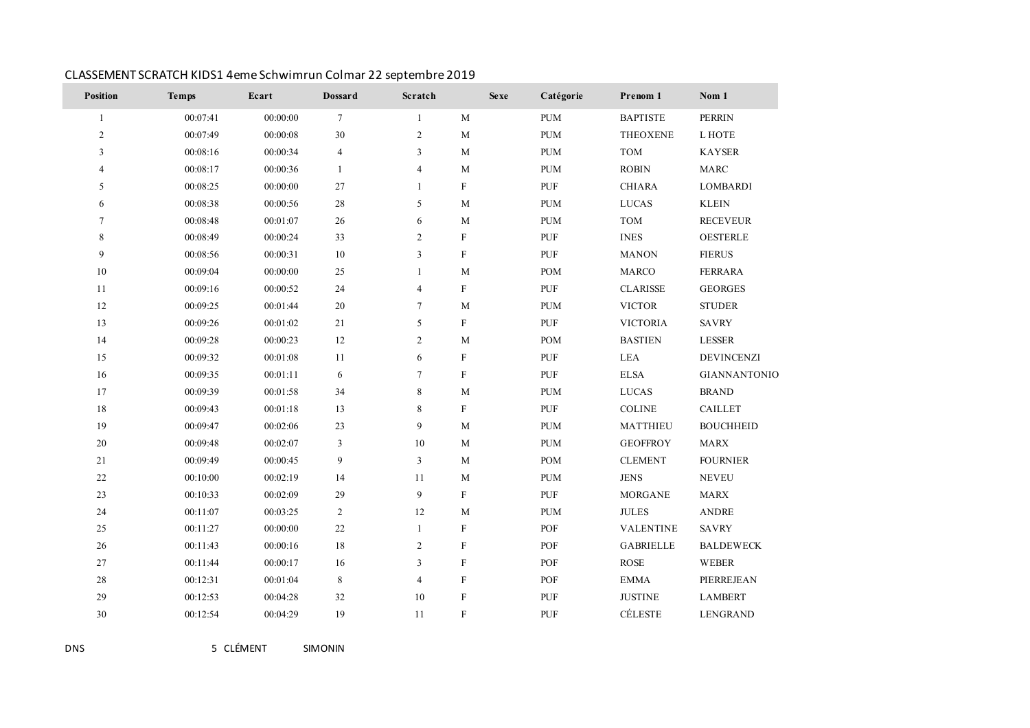| Position     | <b>Temps</b> | Ecart    | <b>Dossard</b> | Scratch        | <b>Sexe</b>               | Catégorie  | Prenom 1         | Nom 1               |
|--------------|--------------|----------|----------------|----------------|---------------------------|------------|------------------|---------------------|
| $\mathbf{1}$ | 00:07:41     | 00:00:00 | $\tau$         | $\mathbf{1}$   | $\mathbf M$               | <b>PUM</b> | <b>BAPTISTE</b>  | <b>PERRIN</b>       |
| $\mathbf{2}$ | 00:07:49     | 00:00:08 | 30             | $\overline{2}$ | $\mathbf M$               | <b>PUM</b> | <b>THEOXENE</b>  | L HOTE              |
| 3            | 00:08:16     | 00:00:34 | $\overline{4}$ | 3              | $\mathbf M$               | <b>PUM</b> | TOM              | <b>KAYSER</b>       |
| 4            | 00:08:17     | 00:00:36 | 1              | $\overline{4}$ | $\mathbf{M}$              | <b>PUM</b> | <b>ROBIN</b>     | <b>MARC</b>         |
| 5            | 00:08:25     | 00:00:00 | 27             | $\mathbf{1}$   | $\rm F$                   | PUF        | <b>CHIARA</b>    | <b>LOMBARDI</b>     |
| 6            | 00:08:38     | 00:00:56 | 28             | 5              | $\mathbf{M}$              | <b>PUM</b> | <b>LUCAS</b>     | <b>KLEIN</b>        |
| $\tau$       | 00:08:48     | 00:01:07 | $26\,$         | 6              | $\mathbf M$               | <b>PUM</b> | TOM              | <b>RECEVEUR</b>     |
| 8            | 00:08:49     | 00:00:24 | 33             | $\overline{2}$ | $\rm F$                   | PUF        | <b>INES</b>      | <b>OESTERLE</b>     |
| 9            | 00:08:56     | 00:00:31 | $10\,$         | $\overline{3}$ | $\mathbf F$               | PUF        | <b>MANON</b>     | <b>FIERUS</b>       |
| $10\,$       | 00:09:04     | 00:00:00 | 25             | 1              | M                         | <b>POM</b> | <b>MARCO</b>     | <b>FERRARA</b>      |
| 11           | 00:09:16     | 00:00:52 | 24             | $\overline{4}$ | $\rm F$                   | <b>PUF</b> | <b>CLARISSE</b>  | <b>GEORGES</b>      |
| $12\,$       | 00:09:25     | 00:01:44 | $20\,$         | $\tau$         | $\mathbf M$               | <b>PUM</b> | <b>VICTOR</b>    | <b>STUDER</b>       |
| 13           | 00:09:26     | 00:01:02 | 21             | 5              | $\rm F$                   | PUF        | <b>VICTORIA</b>  | SAVRY               |
| 14           | 00:09:28     | 00:00:23 | 12             | $\overline{2}$ | $\mathbf{M}$              | <b>POM</b> | <b>BASTIEN</b>   | LESSER              |
| 15           | 00:09:32     | 00:01:08 | 11             | 6              | $\rm F$                   | PUF        | <b>LEA</b>       | DEVINCENZI          |
| 16           | 00:09:35     | 00:01:11 | 6              | $\tau$         | $\boldsymbol{\mathrm{F}}$ | PUF        | <b>ELSA</b>      | <b>GIANNANTONIO</b> |
| 17           | 00:09:39     | 00:01:58 | 34             | 8              | $\mathbf{M}$              | <b>PUM</b> | <b>LUCAS</b>     | <b>BRAND</b>        |
| $18\,$       | 00:09:43     | 00:01:18 | 13             | 8              | $\boldsymbol{\mathrm{F}}$ | PUF        | COLINE           | <b>CAILLET</b>      |
| 19           | 00:09:47     | 00:02:06 | 23             | 9              | $\mathbf M$               | <b>PUM</b> | MATTHIEU         | <b>BOUCHHEID</b>    |
| $20\,$       | 00:09:48     | 00:02:07 | $\mathbf{3}$   | 10             | $\mathbf M$               | <b>PUM</b> | <b>GEOFFROY</b>  | <b>MARX</b>         |
| 21           | 00:09:49     | 00:00:45 | 9              | 3              | $\mathbf M$               | <b>POM</b> | <b>CLEMENT</b>   | <b>FOURNIER</b>     |
| 22           | 00:10:00     | 00:02:19 | 14             | 11             | M                         | <b>PUM</b> | <b>JENS</b>      | <b>NEVEU</b>        |
| 23           | 00:10:33     | 00:02:09 | 29             | 9              | $\boldsymbol{\mathrm{F}}$ | <b>PUF</b> | <b>MORGANE</b>   | <b>MARX</b>         |
| $24\,$       | 00:11:07     | 00:03:25 | 2              | 12             | $\mathbf M$               | <b>PUM</b> | <b>JULES</b>     | ANDRE               |
| $25\,$       | 00:11:27     | 00:00:00 | $22\,$         | $\mathbf{1}$   | $\mathbf F$               | POF        | <b>VALENTINE</b> | <b>SAVRY</b>        |
| 26           | 00:11:43     | 00:00:16 | 18             | $\overline{2}$ | $\rm F$                   | POF        | <b>GABRIELLE</b> | <b>BALDEWECK</b>    |
| 27           | 00:11:44     | 00:00:17 | 16             | 3              | $\rm F$                   | POF        | <b>ROSE</b>      | WEBER               |
| $28\,$       | 00:12:31     | 00:01:04 | 8              | $\overline{4}$ | $\boldsymbol{\mathrm{F}}$ | POF        | <b>EMMA</b>      | PIERREJEAN          |
| 29           | 00:12:53     | 00:04:28 | 32             | 10             | $\boldsymbol{\mathrm{F}}$ | <b>PUF</b> | <b>JUSTINE</b>   | <b>LAMBERT</b>      |
| 30           | 00:12:54     | 00:04:29 | 19             | 11             | $\overline{F}$            | PUF        | CÉLESTE          | <b>LENGRAND</b>     |

# CLASSEMENT SCRATCH KIDS1 4eme Schwimrun Colmar 22 septembre 2019

DNS 5 CLÉMENT SIMONIN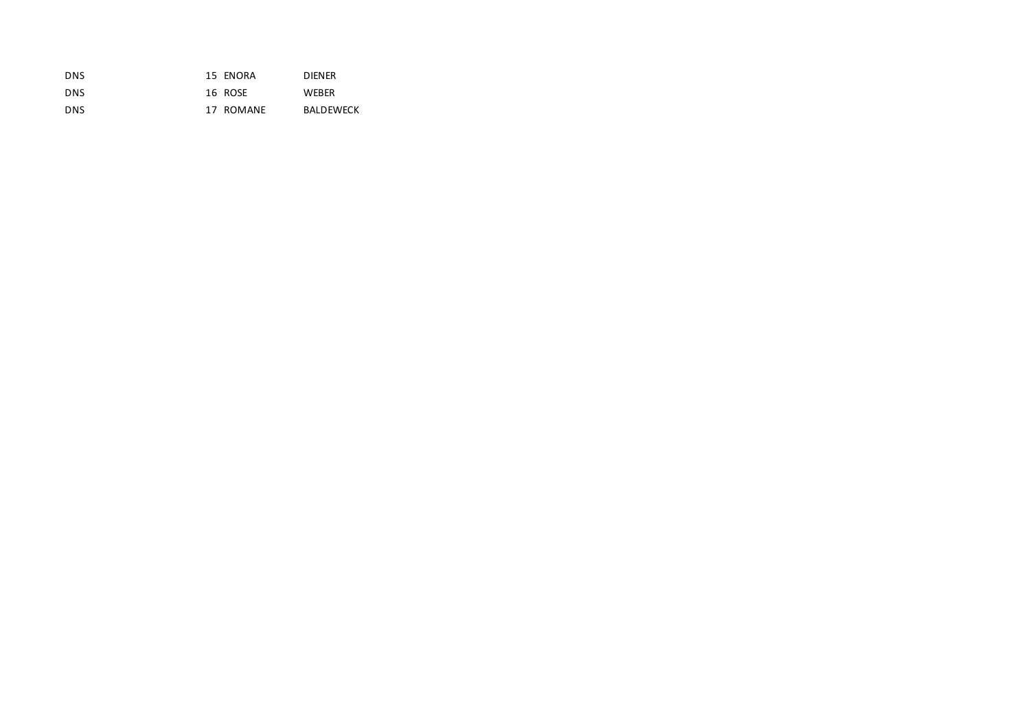| DNS        | 15 ENORA  | <b>DIENER</b>    |
|------------|-----------|------------------|
| DNS        | 16 ROSE   | <b>WEBER</b>     |
| <b>DNS</b> | 17 ROMANE | <b>BALDEWECK</b> |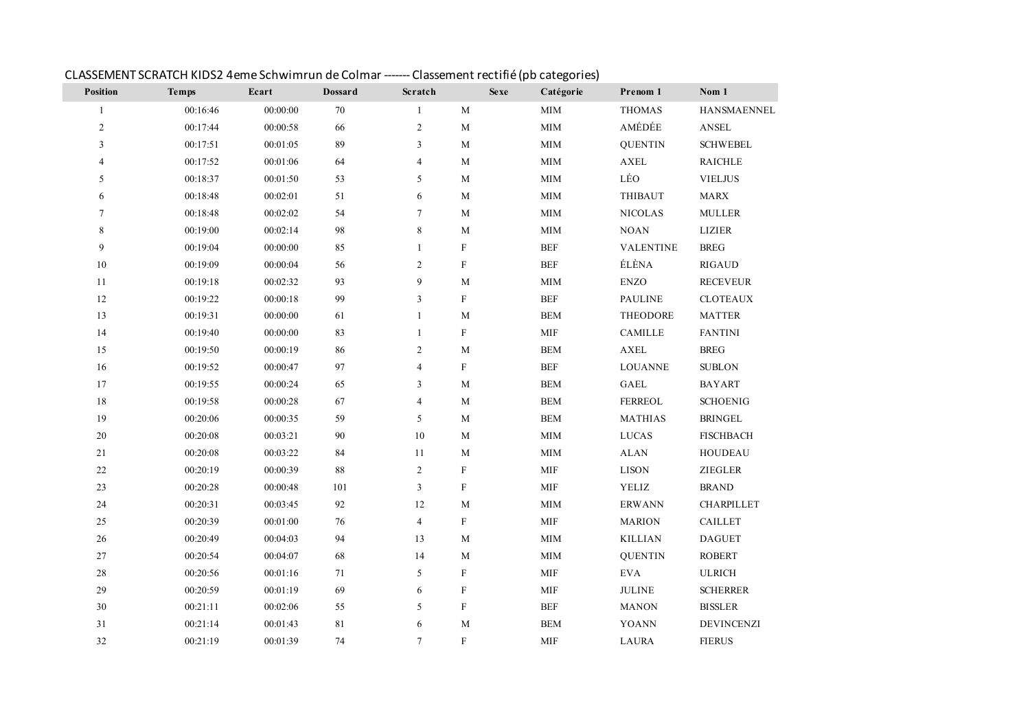| Position                 | <b>Temps</b> | Ecart    | <b>Dossard</b> | Scratch        |                           | <b>Sexe</b><br>Catégorie | Prenom 1         | Nom 1              |
|--------------------------|--------------|----------|----------------|----------------|---------------------------|--------------------------|------------------|--------------------|
| $\mathbf{1}$             | 00:16:46     | 00:00:00 | 70             | $\mathbf{1}$   | $\mathbf M$               | $\text{MIM}{}$           | <b>THOMAS</b>    | <b>HANSMAENNEL</b> |
| $\sqrt{2}$               | 00:17:44     | 00:00:58 | 66             | $\overline{2}$ | $\mathbf M$               | $\text{MIM}{}$           | AMÉDÉE           | ANSEL              |
| 3                        | 00:17:51     | 00:01:05 | 89             | 3              | $\mathbf M$               | <b>MIM</b>               | <b>OUENTIN</b>   | <b>SCHWEBEL</b>    |
| $\overline{\mathcal{L}}$ | 00:17:52     | 00:01:06 | 64             | $\overline{4}$ | $\mathbf M$               | $\text{MIM}{}$           | ${\bf AXEL}$     | <b>RAICHLE</b>     |
| $\sqrt{5}$               | 00:18:37     | 00:01:50 | 53             | 5              | $\mathbf M$               | $\text{MIM}{}$           | LÉO              | <b>VIELJUS</b>     |
| 6                        | 00:18:48     | 00:02:01 | $51\,$         | 6              | $\mathbf M$               | $\text{MIM}{}$           | <b>THIBAUT</b>   | <b>MARX</b>        |
| 7                        | 00:18:48     | 00:02:02 | 54             | $\overline{7}$ | $\mathbf M$               | <b>MIM</b>               | <b>NICOLAS</b>   | <b>MULLER</b>      |
| 8                        | 00:19:00     | 00:02:14 | 98             | 8              | M                         | <b>MIM</b>               | $\rm NOAN$       | <b>LIZIER</b>      |
| 9                        | 00:19:04     | 00:00:00 | 85             | $\mathbf{1}$   | $\mathbf F$               | $BEF$                    | <b>VALENTINE</b> | <b>BREG</b>        |
| 10                       | 00:19:09     | 00:00:04 | 56             | $\overline{2}$ | $\boldsymbol{\mathrm{F}}$ | <b>BEF</b>               | ÉLÈNA            | <b>RIGAUD</b>      |
| $11\,$                   | 00:19:18     | 00:02:32 | 93             | 9              | $\mathbf M$               | $\text{MIM}{}$           | <b>ENZO</b>      | <b>RECEVEUR</b>    |
| 12                       | 00:19:22     | 00:00:18 | 99             | 3              | $\boldsymbol{\mathrm{F}}$ | <b>BEF</b>               | <b>PAULINE</b>   | <b>CLOTEAUX</b>    |
| 13                       | 00:19:31     | 00:00:00 | 61             | 1              | $\mathbf M$               | <b>BEM</b>               | THEODORE         | <b>MATTER</b>      |
| 14                       | 00:19:40     | 00:00:00 | 83             | $\mathbf{1}$   | $\rm F$                   | <b>MIF</b>               | <b>CAMILLE</b>   | <b>FANTINI</b>     |
| 15                       | 00:19:50     | 00:00:19 | 86             | $\overline{2}$ | $\mathbf M$               | <b>BEM</b>               | ${\bf AXEL}$     | <b>BREG</b>        |
| 16                       | 00:19:52     | 00:00:47 | 97             | $\overline{4}$ | $\rm F$                   | <b>BEF</b>               | <b>LOUANNE</b>   | <b>SUBLON</b>      |
| 17                       | 00:19:55     | 00:00:24 | 65             | 3              | $\mathbf M$               | <b>BEM</b>               | GAEL             | <b>BAYART</b>      |
| $18\,$                   | 00:19:58     | 00:00:28 | 67             | $\overline{4}$ | $\mathbf M$               | <b>BEM</b>               | FERREOL          | <b>SCHOENIG</b>    |
| 19                       | 00:20:06     | 00:00:35 | 59             | 5              | $\mathbf M$               | <b>BEM</b>               | <b>MATHIAS</b>   | <b>BRINGEL</b>     |
| $20\,$                   | 00:20:08     | 00:03:21 | $90\,$         | 10             | $\mathbf M$               | $\text{MIM}{}$           | <b>LUCAS</b>     | <b>FISCHBACH</b>   |
| $21\,$                   | 00:20:08     | 00:03:22 | 84             | 11             | $\mathbf M$               | $\text{MIM}{}$           | <b>ALAN</b>      | <b>HOUDEAU</b>     |
| $22\,$                   | 00:20:19     | 00:00:39 | 88             | $\overline{2}$ | $\rm F$                   | <b>MIF</b>               | <b>LISON</b>     | <b>ZIEGLER</b>     |
| 23                       | 00:20:28     | 00:00:48 | 101            | 3              | ${\bf F}$                 | <b>MIF</b>               | YELIZ            | <b>BRAND</b>       |
| $24\,$                   | 00:20:31     | 00:03:45 | $92\,$         | 12             | $\mathbf M$               | $\text{MIM}{}$           | <b>ERWANN</b>    | CHARPILLET         |
| 25                       | 00:20:39     | 00:01:00 | $76\,$         | $\overline{4}$ | $\boldsymbol{\mathrm{F}}$ | <b>MIF</b>               | <b>MARION</b>    | <b>CAILLET</b>     |
| $26\,$                   | 00:20:49     | 00:04:03 | 94             | 13             | $\mathbf M$               | <b>MIM</b>               | <b>KILLIAN</b>   | <b>DAGUET</b>      |
| 27                       | 00:20:54     | 00:04:07 | 68             | 14             | M                         | <b>MIM</b>               | <b>OUENTIN</b>   | <b>ROBERT</b>      |
| $28\,$                   | 00:20:56     | 00:01:16 | $71\,$         | 5              | $\rm F$                   | $\text{MIF}$             | $\mathbf{EVA}$   | <b>ULRICH</b>      |
| 29                       | 00:20:59     | 00:01:19 | 69             | 6              | $\mathbf F$               | <b>MIF</b>               | <b>JULINE</b>    | <b>SCHERRER</b>    |
| 30                       | 00:21:11     | 00:02:06 | 55             | 5              | $\rm F$                   | <b>BEF</b>               | <b>MANON</b>     | <b>BISSLER</b>     |
| 31                       | 00:21:14     | 00:01:43 | 81             | 6              | M                         | <b>BEM</b>               | <b>YOANN</b>     | <b>DEVINCENZI</b>  |
| 32                       | 00:21:19     | 00:01:39 | 74             | $\tau$         | $\mathbf F$               | <b>MIF</b>               | <b>LAURA</b>     | <b>FIERUS</b>      |

#### CLASSEMENT SCRATCH KIDS2 4eme Schwimrun de Colmar ------- Classement rectifié (pb categories)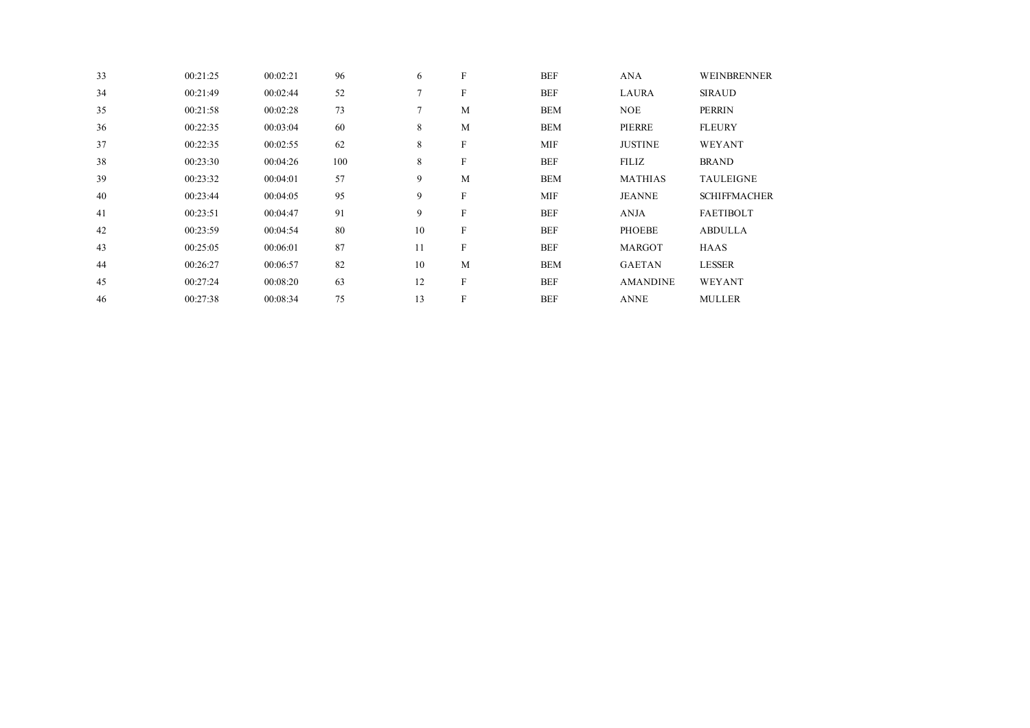| 33 | 00:21:25 | 00:02:21 | 96  | 6  | $\mathbf{F}$              | <b>BEF</b> | <b>ANA</b>      | WEINBRENNER         |
|----|----------|----------|-----|----|---------------------------|------------|-----------------|---------------------|
| 34 | 00:21:49 | 00:02:44 | 52  | 7  | F                         | <b>BEF</b> | <b>LAURA</b>    | <b>SIRAUD</b>       |
| 35 | 00:21:58 | 00:02:28 | 73  | 7  | M                         | <b>BEM</b> | <b>NOE</b>      | <b>PERRIN</b>       |
| 36 | 00:22:35 | 00:03:04 | 60  | 8  | M                         | <b>BEM</b> | PIERRE          | <b>FLEURY</b>       |
| 37 | 00:22:35 | 00:02:55 | 62  | 8  | $\boldsymbol{\mathrm{F}}$ | <b>MIF</b> | <b>JUSTINE</b>  | WEYANT              |
| 38 | 00:23:30 | 00:04:26 | 100 | 8  | $\boldsymbol{\mathrm{F}}$ | <b>BEF</b> | <b>FILIZ</b>    | <b>BRAND</b>        |
| 39 | 00:23:32 | 00:04:01 | 57  | 9  | M                         | <b>BEM</b> | <b>MATHIAS</b>  | <b>TAULEIGNE</b>    |
| 40 | 00:23:44 | 00:04:05 | 95  | 9  | $\boldsymbol{\mathrm{F}}$ | <b>MIF</b> | <b>JEANNE</b>   | <b>SCHIFFMACHER</b> |
| 41 | 00:23:51 | 00:04:47 | 91  | 9  | $\,$ F                    | <b>BEF</b> | <b>ANJA</b>     | <b>FAETIBOLT</b>    |
| 42 | 00:23:59 | 00:04:54 | 80  | 10 | $\boldsymbol{\mathrm{F}}$ | <b>BEF</b> | <b>PHOEBE</b>   | <b>ABDULLA</b>      |
| 43 | 00:25:05 | 00:06:01 | 87  | 11 | $\boldsymbol{\mathrm{F}}$ | <b>BEF</b> | <b>MARGOT</b>   | <b>HAAS</b>         |
| 44 | 00:26:27 | 00:06:57 | 82  | 10 | M                         | <b>BEM</b> | <b>GAETAN</b>   | <b>LESSER</b>       |
| 45 | 00:27:24 | 00:08:20 | 63  | 12 | $\rm F$                   | <b>BEF</b> | <b>AMANDINE</b> | WEYANT              |
| 46 | 00:27:38 | 00:08:34 | 75  | 13 | $\boldsymbol{\mathrm{F}}$ | <b>BEF</b> | <b>ANNE</b>     | <b>MULLER</b>       |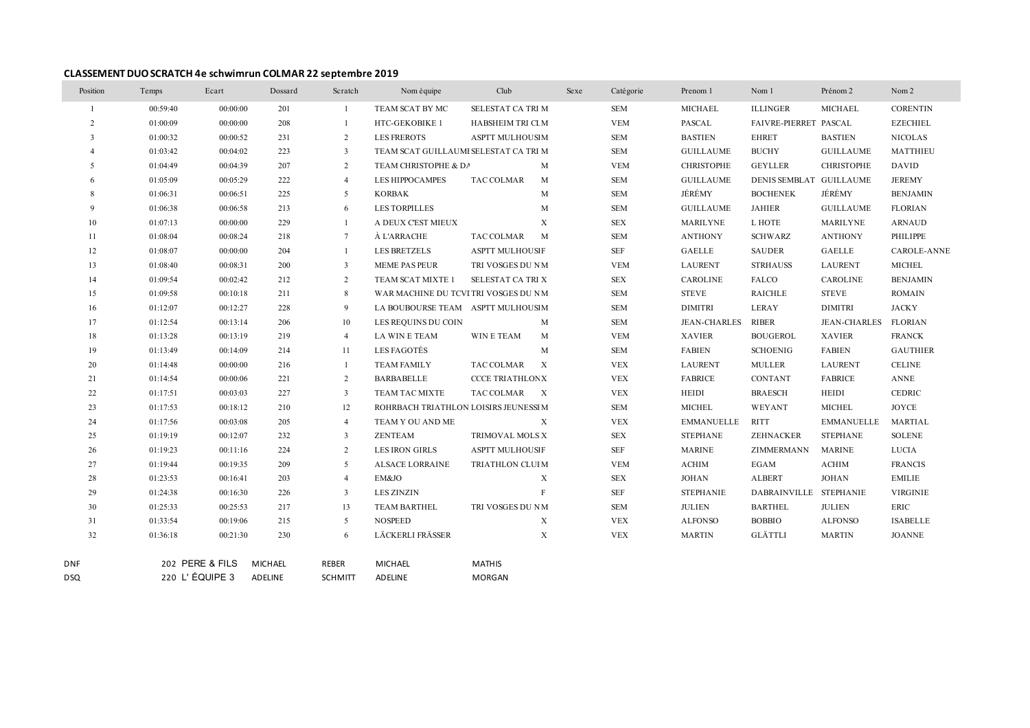#### **CLASSEMENT DUO SCRATCH 4e schwimrun COLMAR 22 septembre 2019**

| Position       | Temps    | Ecart           | Dossard | Scratch                 | Nom équipe                            | Club                                    | Sexe | Catégorie  | Prenom 1          | Nom 1                   | Prénom 2             | Nom 2           |
|----------------|----------|-----------------|---------|-------------------------|---------------------------------------|-----------------------------------------|------|------------|-------------------|-------------------------|----------------------|-----------------|
| $\overline{1}$ | 00:59:40 | 00:00:00        | 201     | -1                      | TEAM SCAT BY MC                       | SELESTAT CA TRI M                       |      | <b>SEM</b> | MICHAEL           | <b>ILLINGER</b>         | MICHAEL              | <b>CORENTIN</b> |
| 2              | 01:00:09 | 00:00:00        | 208     | $\overline{1}$          | HTC-GEKOBIKE 1                        | HABSHEIM TRI CLM                        |      | <b>VEM</b> | PASCAL            | FAIVRE-PIERRET PASCAL   |                      | <b>EZECHIEL</b> |
| 3              | 01:00:32 | 00:00:52        | 231     | 2                       | <b>LES FREROTS</b>                    | ASPTT MULHOUS M                         |      | <b>SEM</b> | <b>BASTIEN</b>    | <b>EHRET</b>            | <b>BASTIEN</b>       | <b>NICOLAS</b>  |
|                | 01:03:42 | 00:04:02        | 223     | 3                       | TEAM SCAT GUILLAUMI SELESTAT CA TRI M |                                         |      | <b>SEM</b> | <b>GUILLAUME</b>  | <b>BUCHY</b>            | <b>GUILLAUME</b>     | MATTHIEU        |
| 5              | 01:04:49 | 00:04:39        | 207     | 2                       | TEAM CHRISTOPHE & DA                  | M                                       |      | <b>VEM</b> | <b>CHRISTOPHE</b> | <b>GEYLLER</b>          | <b>CHRISTOPHE</b>    | <b>DAVID</b>    |
|                | 01:05:09 | 00:05:29        | 222     | $\overline{4}$          | <b>LES HIPPOCAMPES</b>                | TAC COLMAR<br>M                         |      | <b>SEM</b> | <b>GUILLAUME</b>  | DENIS SEMBLAT GUILLAUME |                      | <b>JEREMY</b>   |
| 8              | 01:06:31 | 00:06:51        | 225     | 5                       | <b>KORBAK</b>                         | M                                       |      | <b>SEM</b> | JÉRÉMY            | <b>BOCHENEK</b>         | JÉRÉMY               | <b>BENJAMIN</b> |
| 9              | 01:06:38 | 00:06:58        | 213     | 6                       | <b>LES TORPILLES</b>                  | M                                       |      | <b>SEM</b> | <b>GUILLAUME</b>  | <b>JAHIER</b>           | <b>GUILLAUME</b>     | <b>FLORIAN</b>  |
| 10             | 01:07:13 | 00:00:00        | 229     | -1                      | A DEUX C'EST MIEUX                    | X                                       |      | <b>SEX</b> | MARILYNE          | L HOTE                  | MARILYNE             | <b>ARNAUD</b>   |
| -11            | 01:08:04 | 00:08:24        | 218     | 7                       | À L'ARRACHE                           | TAC COLMAR<br>M                         |      | <b>SEM</b> | <b>ANTHONY</b>    | <b>SCHWARZ</b>          | <b>ANTHONY</b>       | PHILIPPE        |
| 12             | 01:08:07 | 00:00:00        | 204     | -1                      | <b>LES BRETZELS</b>                   | <b>ASPTT MULHOUS F</b>                  |      | <b>SEF</b> | GAELLE            | SAUDER                  | GAELLE               | CAROLE-ANNE     |
| 13             | 01:08:40 | 00:08:31        | 200     | $\overline{\mathbf{3}}$ | <b>MEME PAS PEUR</b>                  | TRI VOSGES DU N M                       |      | <b>VEM</b> | LAURENT           | <b>STRHAUSS</b>         | <b>LAURENT</b>       | <b>MICHEL</b>   |
| 14             | 01:09:54 | 00:02:42        | 212     | 2                       | TEAM SCAT MIXTE 1                     | SELESTAT CA TRI X                       |      | <b>SEX</b> | CAROLINE          | FALCO                   | <b>CAROLINE</b>      | <b>BENJAMIN</b> |
| 15             | 01:09:58 | 00:10:18        | 211     | 8                       | WAR MACHINE DU TCVI TRI VOSGES DU NM  |                                         |      | <b>SEM</b> | <b>STEVE</b>      | <b>RAICHLE</b>          | <b>STEVE</b>         | <b>ROMAIN</b>   |
| 16             | 01:12:07 | 00:12:27        | 228     | 9                       | LA BOUBOURSE TEAM ASPTT MULHOUS M     |                                         |      | <b>SEM</b> | <b>DIMITRI</b>    | <b>LERAY</b>            | <b>DIMITRI</b>       | JACKY           |
| 17             | 01:12:54 | 00:13:14        | 206     | 10                      | LES REQUINS DU COIN                   | M                                       |      | <b>SEM</b> | JEAN-CHARLES      | RIBER                   | JEAN-CHARLES FLORIAN |                 |
| 18             | 01:13:28 | 00:13:19        | 219     | $\overline{4}$          | LA WIN E TEAM                         | WIN E TEAM<br>M                         |      | <b>VEM</b> | <b>XAVIER</b>     | <b>BOUGEROL</b>         | <b>XAVIER</b>        | <b>FRANCK</b>   |
| 19             | 01:13:49 | 00:14:09        | 214     | 11                      | LES FAGOTÉS                           | M                                       |      | <b>SEM</b> | <b>FABIEN</b>     | <b>SCHOENIG</b>         | <b>FABIEN</b>        | <b>GAUTHIER</b> |
| 20             | 01:14:48 | 00:00:00        | 216     | -1                      | <b>TEAM FAMILY</b>                    | TAC COLMAR<br>$\boldsymbol{\mathrm{X}}$ |      | <b>VEX</b> | <b>LAURENT</b>    | MULLER                  | LAURENT              | <b>CELINE</b>   |
| 21             | 01:14:54 | 00:00:06        | 221     | 2                       | <b>BARBABELLE</b>                     | <b>CCCE TRIATHLONX</b>                  |      | <b>VEX</b> | <b>FABRICE</b>    | <b>CONTANT</b>          | <b>FABRICE</b>       | <b>ANNE</b>     |
| 22             | 01:17:51 | 00:03:03        | 227     | $\overline{3}$          | TEAM TAC MIXTE                        | TAC COLMAR X                            |      | <b>VEX</b> | HEIDI             | <b>BRAESCH</b>          | <b>HEIDI</b>         | <b>CEDRIC</b>   |
| 23             | 01:17:53 | 00:18:12        | 210     | 12                      | ROHRBACH TRIATHLON LOISIRS JEUNESSI M |                                         |      | <b>SEM</b> | <b>MICHEL</b>     | WEYANT                  | <b>MICHEL</b>        | JOYCE           |
| 24             | 01:17:56 | 00:03:08        | 205     | $\overline{4}$          | TEAM Y OU AND ME                      | X                                       |      | <b>VEX</b> | <b>EMMANUELLE</b> | <b>RITT</b>             | <b>EMMANUELLE</b>    | MARTIAL         |
| 25             | 01:19:19 | 00:12:07        | 232     | 3                       | ZENTEAM                               | TRIMOVAL MOLS X                         |      | <b>SEX</b> | <b>STEPHANE</b>   | ZEHNACKER               | <b>STEPHANE</b>      | SOLENE          |
| 26             | 01:19:23 | 00:11:16        | 224     | 2                       | <b>LES IRON GIRLS</b>                 | <b>ASPTT MULHOUS F</b>                  |      | <b>SEF</b> | <b>MARINE</b>     | ZIMMERMANN              | <b>MARINE</b>        | LUCIA           |
| 27             | 01:19:44 | 00:19:35        | 209     | 5                       | ALSACE LORRAINE                       | TRIATHLON CLUI M                        |      | <b>VEM</b> | <b>ACHIM</b>      | EGAM                    | <b>ACHIM</b>         | <b>FRANCIS</b>  |
| 28             | 01:23:53 | 00:16:41        | 203     | $\overline{4}$          | EM&JO                                 | $\boldsymbol{\mathrm{X}}$               |      | SEX        | <b>JOHAN</b>      | <b>ALBERT</b>           | JOHAN                | EMILIE          |
| 29             | 01:24:38 | 00:16:30        | 226     | 3                       | <b>LES ZINZIN</b>                     | $\,$ F                                  |      | <b>SEF</b> | <b>STEPHANIE</b>  | DABRAINVILLE STEPHANIE  |                      | <b>VIRGINIE</b> |
| 30             | 01:25:33 | 00:25:53        | 217     | 13                      | TEAM BARTHEL                          | TRI VOSGES DU NM                        |      | <b>SEM</b> | JULIEN            | <b>BARTHEL</b>          | <b>JULIEN</b>        | ERIC            |
| 31             | 01:33:54 | 00:19:06        | 215     | 5                       | NOSPEED                               | X                                       |      | <b>VEX</b> | <b>ALFONSO</b>    | <b>BOBBIO</b>           | <b>ALFONSO</b>       | <b>ISABELLE</b> |
| 32             | 01:36:18 | 00:21:30        | 230     | 6                       | LÄCKERLI FRÄSSER                      | $\boldsymbol{\mathrm{X}}$               |      | <b>VEX</b> | <b>MARTIN</b>     | GLÄTTLI                 | <b>MARTIN</b>        | <b>JOANNE</b>   |
| DNF            |          | 202 PERE & FILS | MICHAEL | REBER                   | <b>MICHAEL</b>                        | <b>MATHIS</b>                           |      |            |                   |                         |                      |                 |

DSQ 220 L' ÉQUIPE 3 ADELINE SCHMITT ADELINE MORGAN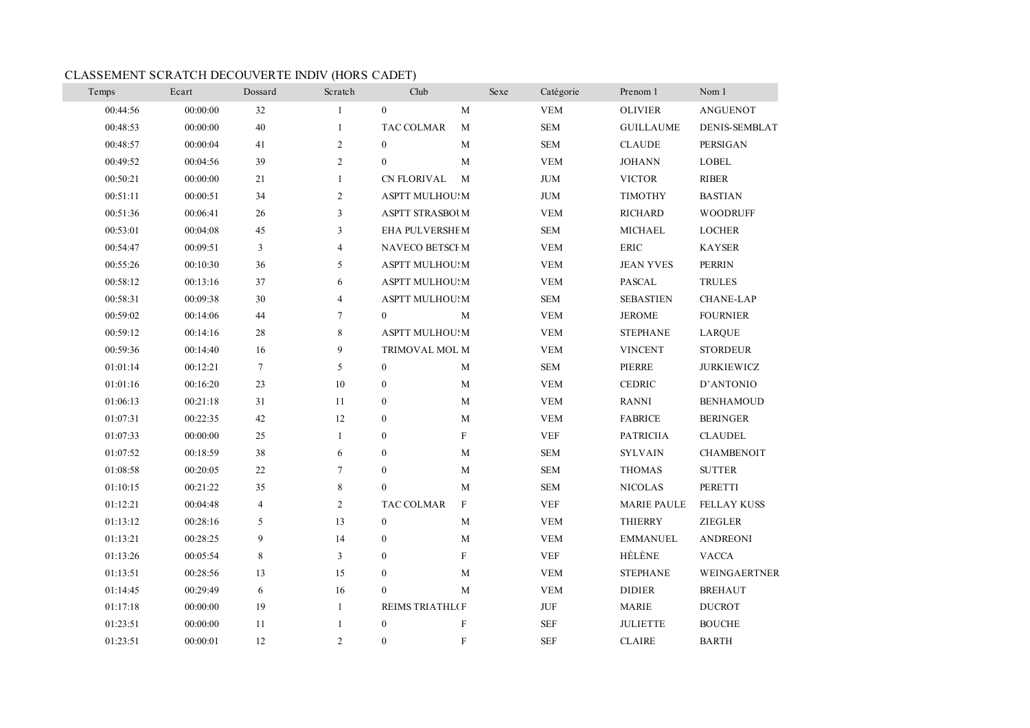## CLASSEMENT SCRATCH DECOUVERTE INDIV (HORS CADET)

٠

| Temps    | Ecart    | Dossard        | Scratch        | Club                               | Sexe | Catégorie                          | Prenom 1           | Nom 1                |
|----------|----------|----------------|----------------|------------------------------------|------|------------------------------------|--------------------|----------------------|
| 00:44:56 | 00:00:00 | 32             | $\mathbf{1}$   | $\mathbf{0}$<br>M                  |      | <b>VEM</b>                         | <b>OLIVIER</b>     | <b>ANGUENOT</b>      |
| 00:48:53 | 00:00:00 | 40             | $\mathbf{1}$   | TAC COLMAR<br>M                    |      | <b>SEM</b>                         | <b>GUILLAUME</b>   | <b>DENIS-SEMBLAT</b> |
| 00:48:57 | 00:00:04 | 41             | $\mathfrak{2}$ | M<br>$\boldsymbol{0}$              |      | <b>SEM</b>                         | <b>CLAUDE</b>      | <b>PERSIGAN</b>      |
| 00:49:52 | 00:04:56 | 39             | $\overline{2}$ | $\mathbf{0}$<br>M                  |      | <b>VEM</b>                         | <b>JOHANN</b>      | <b>LOBEL</b>         |
| 00:50:21 | 00:00:00 | 21             | $\mathbf{1}$   | <b>CN FLORIVAL</b><br>M            |      | <b>JUM</b>                         | <b>VICTOR</b>      | <b>RIBER</b>         |
| 00:51:11 | 00:00:51 | 34             | $\overline{c}$ | <b>ASPTT MULHOU:M</b>              |      | <b>JUM</b>                         | <b>TIMOTHY</b>     | <b>BASTIAN</b>       |
| 00:51:36 | 00:06:41 | 26             | $\mathfrak{Z}$ | <b>ASPTT STRASBOUM</b>             |      | <b>VEM</b>                         | RICHARD            | <b>WOODRUFF</b>      |
| 00:53:01 | 00:04:08 | 45             | 3              | EHA PULVERSHEM                     |      | <b>SEM</b>                         | <b>MICHAEL</b>     | <b>LOCHER</b>        |
| 00:54:47 | 00:09:51 | $\mathfrak{Z}$ | $\overline{4}$ | NAVECO BETSCHM                     |      | <b>VEM</b>                         | <b>ERIC</b>        | <b>KAYSER</b>        |
| 00:55:26 | 00:10:30 | 36             | 5              | <b>ASPTT MULHOU! M</b>             |      | <b>VEM</b>                         | <b>JEAN YVES</b>   | <b>PERRIN</b>        |
| 00:58:12 | 00:13:16 | 37             | 6              | <b>ASPTT MULHOU: M</b>             |      | <b>VEM</b>                         | <b>PASCAL</b>      | <b>TRULES</b>        |
| 00:58:31 | 00:09:38 | 30             | $\overline{4}$ | <b>ASPTT MULHOU: M</b>             |      | <b>SEM</b>                         | <b>SEBASTIEN</b>   | <b>CHANE-LAP</b>     |
| 00:59:02 | 00:14:06 | 44             | $\tau$         | $\mathbf{0}$<br>M                  |      | <b>VEM</b>                         | <b>JEROME</b>      | <b>FOURNIER</b>      |
| 00:59:12 | 00:14:16 | 28             | 8              | <b>ASPTT MULHOU!M</b>              |      | <b>VEM</b>                         | <b>STEPHANE</b>    | <b>LARQUE</b>        |
| 00:59:36 | 00:14:40 | 16             | 9              | TRIMOVAL MOL M                     |      | <b>VEM</b>                         | <b>VINCENT</b>     | <b>STORDEUR</b>      |
| 01:01:14 | 00:12:21 | $\tau$         | 5              | $\bf{0}$<br>M                      |      | <b>SEM</b>                         | PIERRE             | <b>JURKIEWICZ</b>    |
| 01:01:16 | 00:16:20 | 23             | 10             | $\bf{0}$<br>$\mathbf{M}$           |      | <b>VEM</b>                         | <b>CEDRIC</b>      | D'ANTONIO            |
| 01:06:13 | 00:21:18 | 31             | 11             | $\mathbf{0}$<br>M                  |      | <b>VEM</b>                         | RANNI              | <b>BENHAMOUD</b>     |
| 01:07:31 | 00:22:35 | 42             | 12             | $\boldsymbol{0}$<br>M              |      | <b>VEM</b>                         | <b>FABRICE</b>     | <b>BERINGER</b>      |
| 01:07:33 | 00:00:00 | 25             | $\mathbf{1}$   | $\mathbf{F}$<br>$\boldsymbol{0}$   |      | <b>VEF</b>                         | <b>PATRICIIA</b>   | <b>CLAUDEL</b>       |
| 01:07:52 | 00:18:59 | 38             | 6              | $\boldsymbol{0}$<br>M              |      | <b>SEM</b>                         | <b>SYLVAIN</b>     | <b>CHAMBENOIT</b>    |
| 01:08:58 | 00:20:05 | 22             | $\overline{7}$ | $\mathbf{0}$<br>M                  |      | <b>SEM</b>                         | <b>THOMAS</b>      | <b>SUTTER</b>        |
| 01:10:15 | 00:21:22 | 35             | $\,8\,$        | M<br>$\mathbf{0}$                  |      | <b>SEM</b>                         | <b>NICOLAS</b>     | PERETTI              |
| 01:12:21 | 00:04:48 | $\overline{4}$ | $\overline{2}$ | TAC COLMAR<br>$\mathbf{F}$         |      | <b>VEF</b>                         | <b>MARIE PAULE</b> | <b>FELLAY KUSS</b>   |
| 01:13:12 | 00:28:16 | 5              | 13             | $\bf{0}$<br>M                      |      | <b>VEM</b>                         | <b>THIERRY</b>     | <b>ZIEGLER</b>       |
| 01:13:21 | 00:28:25 | 9              | 14             | M<br>$\mathbf{0}$                  |      | <b>VEM</b>                         | <b>EMMANUEL</b>    | <b>ANDREONI</b>      |
| 01:13:26 | 00:05:54 | 8              | 3              | F<br>$\mathbf{0}$                  |      | <b>VEF</b>                         | HÉLÈNE             | <b>VACCA</b>         |
| 01:13:51 | 00:28:56 | 13             | 15             | $\boldsymbol{0}$<br>M              |      | <b>VEM</b>                         | <b>STEPHANE</b>    | <b>WEINGAERTNER</b>  |
| 01:14:45 | 00:29:49 | 6              | 16             | $\mathbf{0}$<br>M                  |      | <b>VEM</b>                         | <b>DIDIER</b>      | <b>BREHAUT</b>       |
| 01:17:18 | 00:00:00 | 19             | $\mathbf{1}$   | <b>REIMS TRIATHL(F</b>             |      | $\rm JUF$                          | <b>MARIE</b>       | <b>DUCROT</b>        |
| 01:23:51 | 00:00:00 | 11             | $\mathbf{1}$   | $\boldsymbol{0}$<br>$\overline{F}$ |      | $\ensuremath{\mathop{\text{SEF}}}$ | <b>JULIETTE</b>    | <b>BOUCHE</b>        |
| 01:23:51 | 00:00:01 | 12             | 2              | $\mathbf{0}$<br>$\mathbf{F}$       |      | <b>SEF</b>                         | <b>CLAIRE</b>      | <b>BARTH</b>         |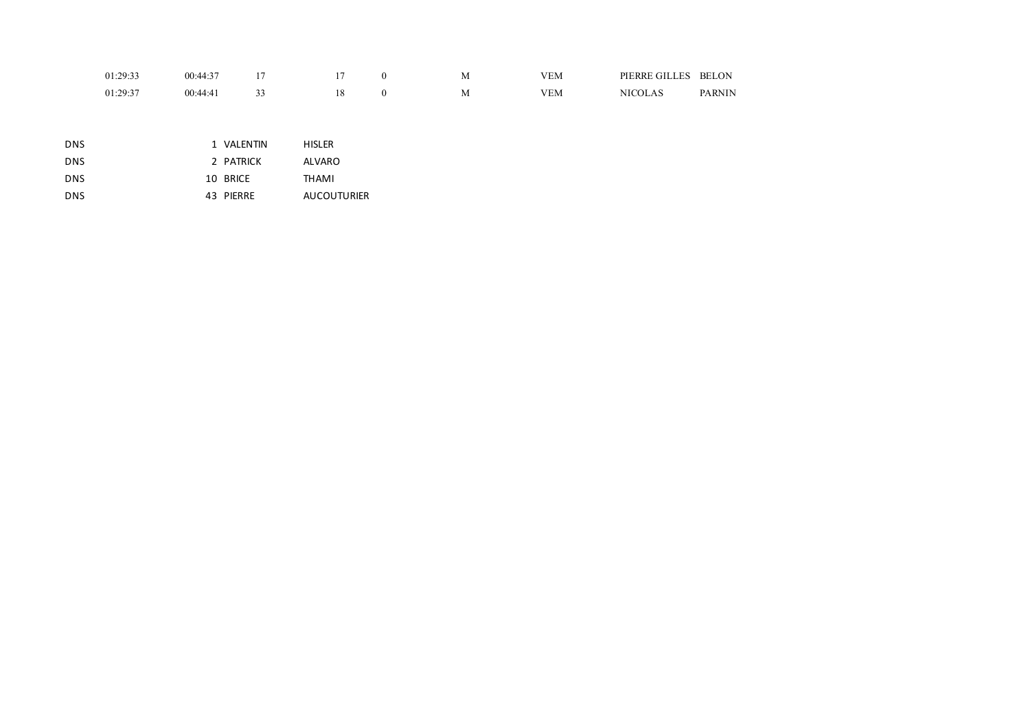| 01.29.32<br>.          | $00:44:3$ <sup>-</sup> |  | M | $X$ $X$ $Y$ $Y$<br>ΈM | PIERRE GILLES | <b>BELON</b>  |
|------------------------|------------------------|--|---|-----------------------|---------------|---------------|
| 01.29.37<br>. <i>.</i> | 00:44:4                |  | M | "E <sub>M</sub>       |               | <b>PARNIN</b> |

| DNS. | 1 VALENTIN | <b>HISLER</b>      |
|------|------------|--------------------|
| DNS. | 2 PATRICK  | ALVARO             |
| DNS. | 10 BRICE   | THAMI              |
| DNS. | 43 PIERRE  | <b>AUCOUTURIER</b> |